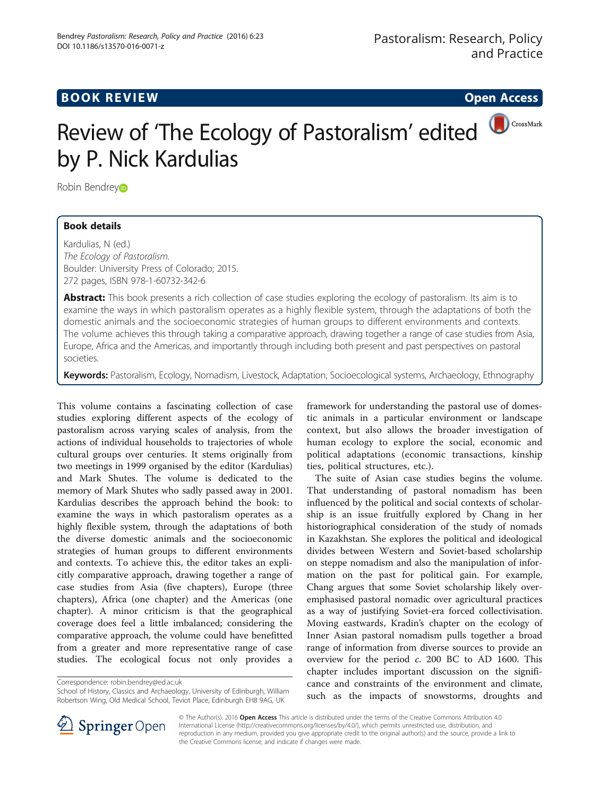## **BOOK REVIEW CONTROL** BOOK REVIEW

CrossMark

# Review of 'The Ecology of Pastoralism' edited by P. Nick Kardulias

Robin Bendre[y](http://orcid.org/0000-0001-5286-1601)<sup>D</sup>

## Book details

Kardulias, N (ed.) The Ecology of Pastoralism. Boulder: University Press of Colorado; 2015. 272 pages, ISBN 978-1-60732-342-6

Abstract: This book presents a rich collection of case studies exploring the ecology of pastoralism. Its aim is to examine the ways in which pastoralism operates as a highly flexible system, through the adaptations of both the domestic animals and the socioeconomic strategies of human groups to different environments and contexts. The volume achieves this through taking a comparative approach, drawing together a range of case studies from Asia, Europe, Africa and the Americas, and importantly through including both present and past perspectives on pastoral societies.

Keywords: Pastoralism, Ecology, Nomadism, Livestock, Adaptation, Socioecological systems, Archaeology, Ethnography

This volume contains a fascinating collection of case studies exploring different aspects of the ecology of pastoralism across varying scales of analysis, from the actions of individual households to trajectories of whole cultural groups over centuries. It stems originally from two meetings in 1999 organised by the editor (Kardulias) and Mark Shutes. The volume is dedicated to the memory of Mark Shutes who sadly passed away in 2001. Kardulias describes the approach behind the book: to examine the ways in which pastoralism operates as a highly flexible system, through the adaptations of both the diverse domestic animals and the socioeconomic strategies of human groups to different environments and contexts. To achieve this, the editor takes an explicitly comparative approach, drawing together a range of case studies from Asia (five chapters), Europe (three chapters), Africa (one chapter) and the Americas (one chapter). A minor criticism is that the geographical coverage does feel a little imbalanced; considering the comparative approach, the volume could have benefitted from a greater and more representative range of case studies. The ecological focus not only provides a

Correspondence: [robin.bendrey@ed.ac.uk](mailto:robin.bendrey@ed.ac.uk)

School of History, Classics and Archaeology, University of Edinburgh, William Robertson Wing, Old Medical School, Teviot Place, Edinburgh EH8 9AG, UK

framework for understanding the pastoral use of domestic animals in a particular environment or landscape context, but also allows the broader investigation of human ecology to explore the social, economic and political adaptations (economic transactions, kinship ties, political structures, etc.).

The suite of Asian case studies begins the volume. That understanding of pastoral nomadism has been influenced by the political and social contexts of scholarship is an issue fruitfully explored by Chang in her historiographical consideration of the study of nomads in Kazakhstan. She explores the political and ideological divides between Western and Soviet-based scholarship on steppe nomadism and also the manipulation of information on the past for political gain. For example, Chang argues that some Soviet scholarship likely overemphasised pastoral nomadic over agricultural practices as a way of justifying Soviet-era forced collectivisation. Moving eastwards, Kradin's chapter on the ecology of Inner Asian pastoral nomadism pulls together a broad range of information from diverse sources to provide an overview for the period  $c$ . 200 BC to AD 1600. This chapter includes important discussion on the significance and constraints of the environment and climate, such as the impacts of snowstorms, droughts and



© The Author(s). 2016 Open Access This article is distributed under the terms of the Creative Commons Attribution 4.0 International License ([http://creativecommons.org/licenses/by/4.0/\)](http://creativecommons.org/licenses/by/4.0/), which permits unrestricted use, distribution, and reproduction in any medium, provided you give appropriate credit to the original author(s) and the source, provide a link to the Creative Commons license, and indicate if changes were made.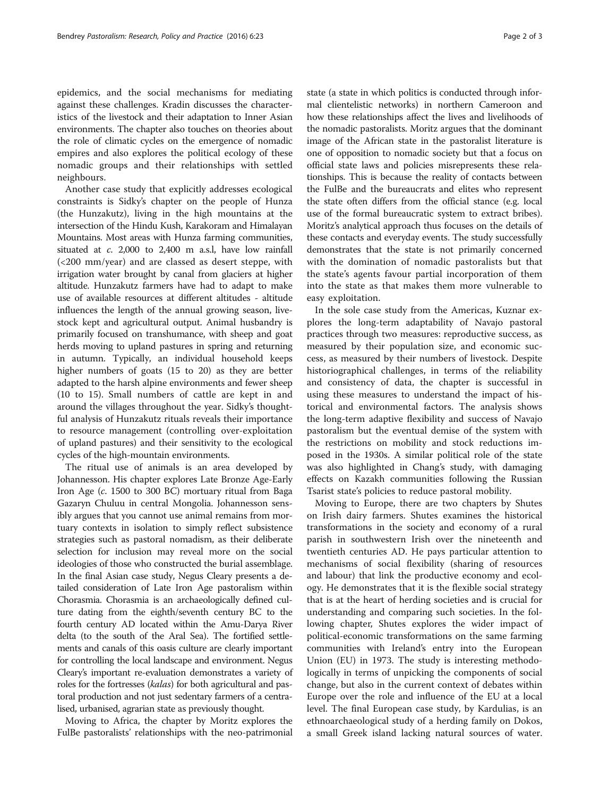epidemics, and the social mechanisms for mediating against these challenges. Kradin discusses the characteristics of the livestock and their adaptation to Inner Asian environments. The chapter also touches on theories about the role of climatic cycles on the emergence of nomadic empires and also explores the political ecology of these nomadic groups and their relationships with settled neighbours.

Another case study that explicitly addresses ecological constraints is Sidky's chapter on the people of Hunza (the Hunzakutz), living in the high mountains at the intersection of the Hindu Kush, Karakoram and Himalayan Mountains. Most areas with Hunza farming communities, situated at c. 2,000 to 2,400 m a.s.l, have low rainfall (<200 mm/year) and are classed as desert steppe, with irrigation water brought by canal from glaciers at higher altitude. Hunzakutz farmers have had to adapt to make use of available resources at different altitudes - altitude influences the length of the annual growing season, livestock kept and agricultural output. Animal husbandry is primarily focused on transhumance, with sheep and goat herds moving to upland pastures in spring and returning in autumn. Typically, an individual household keeps higher numbers of goats (15 to 20) as they are better adapted to the harsh alpine environments and fewer sheep (10 to 15). Small numbers of cattle are kept in and around the villages throughout the year. Sidky's thoughtful analysis of Hunzakutz rituals reveals their importance to resource management (controlling over-exploitation of upland pastures) and their sensitivity to the ecological cycles of the high-mountain environments.

The ritual use of animals is an area developed by Johannesson. His chapter explores Late Bronze Age-Early Iron Age (c. 1500 to 300 BC) mortuary ritual from Baga Gazaryn Chuluu in central Mongolia. Johannesson sensibly argues that you cannot use animal remains from mortuary contexts in isolation to simply reflect subsistence strategies such as pastoral nomadism, as their deliberate selection for inclusion may reveal more on the social ideologies of those who constructed the burial assemblage. In the final Asian case study, Negus Cleary presents a detailed consideration of Late Iron Age pastoralism within Chorasmia. Chorasmia is an archaeologically defined culture dating from the eighth/seventh century BC to the fourth century AD located within the Amu-Darya River delta (to the south of the Aral Sea). The fortified settlements and canals of this oasis culture are clearly important for controlling the local landscape and environment. Negus Cleary's important re-evaluation demonstrates a variety of roles for the fortresses (kalas) for both agricultural and pastoral production and not just sedentary farmers of a centralised, urbanised, agrarian state as previously thought.

Moving to Africa, the chapter by Moritz explores the FulBe pastoralists' relationships with the neo-patrimonial state (a state in which politics is conducted through informal clientelistic networks) in northern Cameroon and how these relationships affect the lives and livelihoods of the nomadic pastoralists. Moritz argues that the dominant image of the African state in the pastoralist literature is one of opposition to nomadic society but that a focus on official state laws and policies misrepresents these relationships. This is because the reality of contacts between the FulBe and the bureaucrats and elites who represent the state often differs from the official stance (e.g. local use of the formal bureaucratic system to extract bribes). Moritz's analytical approach thus focuses on the details of these contacts and everyday events. The study successfully demonstrates that the state is not primarily concerned with the domination of nomadic pastoralists but that the state's agents favour partial incorporation of them into the state as that makes them more vulnerable to easy exploitation.

In the sole case study from the Americas, Kuznar explores the long-term adaptability of Navajo pastoral practices through two measures: reproductive success, as measured by their population size, and economic success, as measured by their numbers of livestock. Despite historiographical challenges, in terms of the reliability and consistency of data, the chapter is successful in using these measures to understand the impact of historical and environmental factors. The analysis shows the long-term adaptive flexibility and success of Navajo pastoralism but the eventual demise of the system with the restrictions on mobility and stock reductions imposed in the 1930s. A similar political role of the state was also highlighted in Chang's study, with damaging effects on Kazakh communities following the Russian Tsarist state's policies to reduce pastoral mobility.

Moving to Europe, there are two chapters by Shutes on Irish dairy farmers. Shutes examines the historical transformations in the society and economy of a rural parish in southwestern Irish over the nineteenth and twentieth centuries AD. He pays particular attention to mechanisms of social flexibility (sharing of resources and labour) that link the productive economy and ecology. He demonstrates that it is the flexible social strategy that is at the heart of herding societies and is crucial for understanding and comparing such societies. In the following chapter, Shutes explores the wider impact of political-economic transformations on the same farming communities with Ireland's entry into the European Union (EU) in 1973. The study is interesting methodologically in terms of unpicking the components of social change, but also in the current context of debates within Europe over the role and influence of the EU at a local level. The final European case study, by Kardulias, is an ethnoarchaeological study of a herding family on Dokos, a small Greek island lacking natural sources of water.